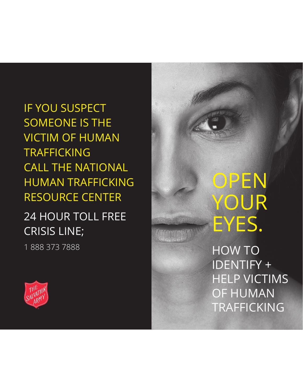IF YOU SUSPECT SOMEONE IS THE VICTIM OF HUMAN TRAFFICKING CALL THE NATIONAL HUMAN TRAFFICKING RESOURCE CENTER

## 24 HOUR TOLL FREE CRISIS LINE;

1 888 373 7888



HOW TO IDENTIFY + HELP VICTIMS OF HUMAN TRAFFICKING